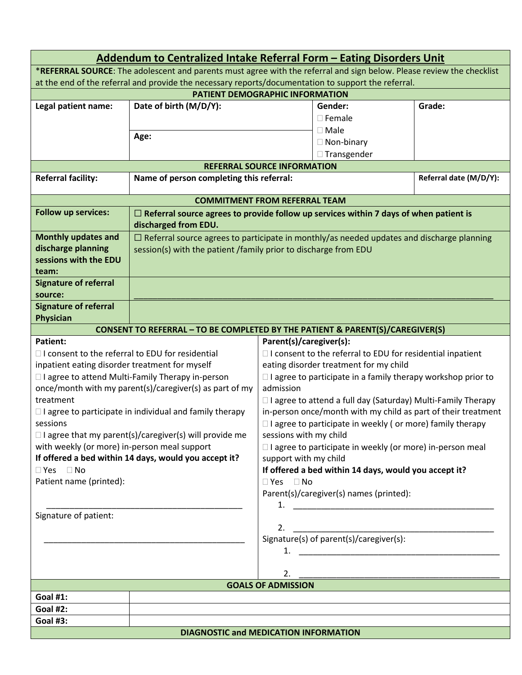|                                                                                                                       | Addendum to Centralized Intake Referral Form - Eating Disorders Unit                             |                                                                                      |                                         |        |  |  |  |
|-----------------------------------------------------------------------------------------------------------------------|--------------------------------------------------------------------------------------------------|--------------------------------------------------------------------------------------|-----------------------------------------|--------|--|--|--|
| *REFERRAL SOURCE: The adolescent and parents must agree with the referral and sign below. Please review the checklist |                                                                                                  |                                                                                      |                                         |        |  |  |  |
| at the end of the referral and provide the necessary reports/documentation to support the referral.                   |                                                                                                  |                                                                                      |                                         |        |  |  |  |
| <b>PATIENT DEMOGRAPHIC INFORMATION</b>                                                                                |                                                                                                  |                                                                                      |                                         |        |  |  |  |
| Legal patient name:                                                                                                   | Date of birth (M/D/Y):                                                                           |                                                                                      | Gender:                                 | Grade: |  |  |  |
|                                                                                                                       |                                                                                                  |                                                                                      | $\square$ Female                        |        |  |  |  |
|                                                                                                                       | Age:                                                                                             |                                                                                      | $\square$ Male                          |        |  |  |  |
|                                                                                                                       |                                                                                                  |                                                                                      | $\Box$ Non-binary                       |        |  |  |  |
|                                                                                                                       |                                                                                                  |                                                                                      | □ Transgender                           |        |  |  |  |
| <b>REFERRAL SOURCE INFORMATION</b>                                                                                    |                                                                                                  |                                                                                      |                                         |        |  |  |  |
| <b>Referral facility:</b>                                                                                             | Referral date (M/D/Y):<br>Name of person completing this referral:                               |                                                                                      |                                         |        |  |  |  |
|                                                                                                                       | <b>COMMITMENT FROM REFERRAL TEAM</b>                                                             |                                                                                      |                                         |        |  |  |  |
| <b>Follow up services:</b>                                                                                            | $\Box$ Referral source agrees to provide follow up services within 7 days of when patient is     |                                                                                      |                                         |        |  |  |  |
|                                                                                                                       | discharged from EDU.                                                                             |                                                                                      |                                         |        |  |  |  |
| <b>Monthly updates and</b>                                                                                            | $\Box$ Referral source agrees to participate in monthly/as needed updates and discharge planning |                                                                                      |                                         |        |  |  |  |
| discharge planning                                                                                                    | session(s) with the patient /family prior to discharge from EDU                                  |                                                                                      |                                         |        |  |  |  |
| sessions with the EDU                                                                                                 |                                                                                                  |                                                                                      |                                         |        |  |  |  |
| team:                                                                                                                 |                                                                                                  |                                                                                      |                                         |        |  |  |  |
| <b>Signature of referral</b>                                                                                          |                                                                                                  |                                                                                      |                                         |        |  |  |  |
| source:                                                                                                               |                                                                                                  |                                                                                      |                                         |        |  |  |  |
| <b>Signature of referral</b>                                                                                          |                                                                                                  |                                                                                      |                                         |        |  |  |  |
|                                                                                                                       | Physician                                                                                        |                                                                                      |                                         |        |  |  |  |
| <b>CONSENT TO REFERRAL - TO BE COMPLETED BY THE PATIENT &amp; PARENT(S)/CAREGIVER(S)</b>                              |                                                                                                  |                                                                                      |                                         |        |  |  |  |
| <b>Patient:</b><br>Parent(s)/caregiver(s):                                                                            |                                                                                                  |                                                                                      |                                         |        |  |  |  |
| $\Box$ I consent to the referral to EDU for residential                                                               |                                                                                                  | $\Box$ I consent to the referral to EDU for residential inpatient                    |                                         |        |  |  |  |
| inpatient eating disorder treatment for myself                                                                        |                                                                                                  | eating disorder treatment for my child                                               |                                         |        |  |  |  |
|                                                                                                                       | □ I agree to attend Multi-Family Therapy in-person                                               | $\Box$ I agree to participate in a family therapy workshop prior to                  |                                         |        |  |  |  |
| treatment                                                                                                             | once/month with my parent(s)/caregiver(s) as part of my                                          | admission                                                                            |                                         |        |  |  |  |
|                                                                                                                       |                                                                                                  | $\Box$ I agree to attend a full day (Saturday) Multi-Family Therapy                  |                                         |        |  |  |  |
| sessions                                                                                                              | $\Box$ I agree to participate in individual and family therapy                                   | in-person once/month with my child as part of their treatment                        |                                         |        |  |  |  |
|                                                                                                                       |                                                                                                  | $\Box$ I agree to participate in weekly (or more) family therapy                     |                                         |        |  |  |  |
| $\Box$ I agree that my parent(s)/caregiver(s) will provide me<br>with weekly (or more) in-person meal support         |                                                                                                  | sessions with my child                                                               |                                         |        |  |  |  |
|                                                                                                                       |                                                                                                  | □ I agree to participate in weekly (or more) in-person meal<br>support with my child |                                         |        |  |  |  |
| If offered a bed within 14 days, would you accept it?<br>$\Box$ Yes $\Box$ No                                         |                                                                                                  | If offered a bed within 14 days, would you accept it?                                |                                         |        |  |  |  |
| Patient name (printed):                                                                                               |                                                                                                  | $\Box$ Yes $\Box$ No                                                                 |                                         |        |  |  |  |
|                                                                                                                       |                                                                                                  |                                                                                      | Parent(s)/caregiver(s) names (printed): |        |  |  |  |
|                                                                                                                       |                                                                                                  |                                                                                      |                                         |        |  |  |  |
| Signature of patient:                                                                                                 |                                                                                                  |                                                                                      |                                         |        |  |  |  |
|                                                                                                                       |                                                                                                  | 2.                                                                                   |                                         |        |  |  |  |
|                                                                                                                       |                                                                                                  |                                                                                      | Signature(s) of parent(s)/caregiver(s): |        |  |  |  |
|                                                                                                                       |                                                                                                  |                                                                                      |                                         |        |  |  |  |
|                                                                                                                       |                                                                                                  |                                                                                      |                                         |        |  |  |  |
|                                                                                                                       |                                                                                                  | 2.                                                                                   |                                         |        |  |  |  |
| <b>Goal #1:</b>                                                                                                       |                                                                                                  | <b>GOALS OF ADMISSION</b>                                                            |                                         |        |  |  |  |
| <b>Goal #2:</b>                                                                                                       |                                                                                                  |                                                                                      |                                         |        |  |  |  |
| <b>Goal #3:</b>                                                                                                       |                                                                                                  |                                                                                      |                                         |        |  |  |  |
|                                                                                                                       | <b>DIAGNOSTIC and MEDICATION INFORMATION</b>                                                     |                                                                                      |                                         |        |  |  |  |
|                                                                                                                       |                                                                                                  |                                                                                      |                                         |        |  |  |  |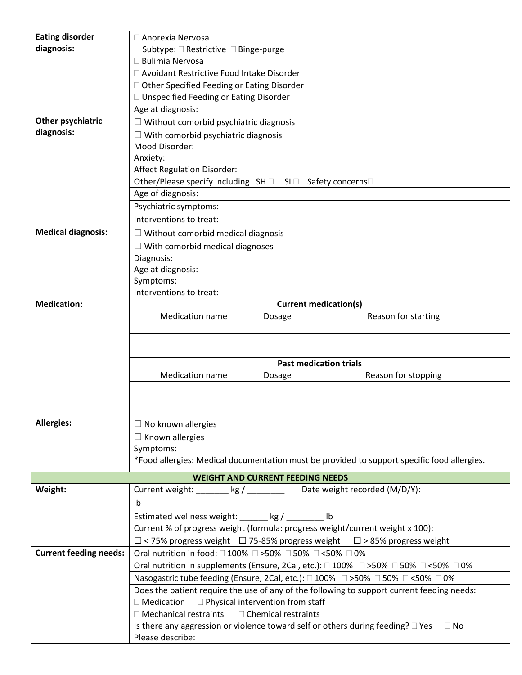| <b>Eating disorder</b>        | $\Box$ Anorexia Nervosa                                                                                                                                                                                              |                                              |                                                                                                                             |  |  |
|-------------------------------|----------------------------------------------------------------------------------------------------------------------------------------------------------------------------------------------------------------------|----------------------------------------------|-----------------------------------------------------------------------------------------------------------------------------|--|--|
| diagnosis:                    | Subtype: □ Restrictive □ Binge-purge                                                                                                                                                                                 |                                              |                                                                                                                             |  |  |
|                               | $\Box$ Bulimia Nervosa                                                                                                                                                                                               |                                              |                                                                                                                             |  |  |
|                               | □ Avoidant Restrictive Food Intake Disorder                                                                                                                                                                          |                                              |                                                                                                                             |  |  |
|                               |                                                                                                                                                                                                                      | □ Other Specified Feeding or Eating Disorder |                                                                                                                             |  |  |
|                               | □ Unspecified Feeding or Eating Disorder                                                                                                                                                                             |                                              |                                                                                                                             |  |  |
|                               | Age at diagnosis:                                                                                                                                                                                                    |                                              |                                                                                                                             |  |  |
| Other psychiatric             | $\Box$ Without comorbid psychiatric diagnosis                                                                                                                                                                        |                                              |                                                                                                                             |  |  |
| diagnosis:                    | $\Box$ With comorbid psychiatric diagnosis                                                                                                                                                                           |                                              |                                                                                                                             |  |  |
|                               | Mood Disorder:                                                                                                                                                                                                       |                                              |                                                                                                                             |  |  |
|                               | Anxiety:                                                                                                                                                                                                             |                                              |                                                                                                                             |  |  |
|                               | <b>Affect Regulation Disorder:</b>                                                                                                                                                                                   |                                              |                                                                                                                             |  |  |
|                               | Other/Please specify including SH □ SI □ Safety concerns□                                                                                                                                                            |                                              |                                                                                                                             |  |  |
|                               | Age of diagnosis:                                                                                                                                                                                                    |                                              |                                                                                                                             |  |  |
|                               | Psychiatric symptoms:                                                                                                                                                                                                |                                              |                                                                                                                             |  |  |
|                               | Interventions to treat:                                                                                                                                                                                              |                                              |                                                                                                                             |  |  |
| <b>Medical diagnosis:</b>     | $\Box$ Without comorbid medical diagnosis                                                                                                                                                                            |                                              |                                                                                                                             |  |  |
|                               | $\Box$ With comorbid medical diagnoses                                                                                                                                                                               |                                              |                                                                                                                             |  |  |
|                               | Diagnosis:                                                                                                                                                                                                           |                                              |                                                                                                                             |  |  |
|                               | Age at diagnosis:                                                                                                                                                                                                    |                                              |                                                                                                                             |  |  |
|                               | Symptoms:                                                                                                                                                                                                            |                                              |                                                                                                                             |  |  |
|                               | Interventions to treat:                                                                                                                                                                                              |                                              |                                                                                                                             |  |  |
| <b>Medication:</b>            | <b>Current medication(s)</b>                                                                                                                                                                                         |                                              |                                                                                                                             |  |  |
|                               | <b>Medication name</b>                                                                                                                                                                                               | Dosage                                       | Reason for starting                                                                                                         |  |  |
|                               |                                                                                                                                                                                                                      |                                              |                                                                                                                             |  |  |
|                               |                                                                                                                                                                                                                      |                                              |                                                                                                                             |  |  |
|                               |                                                                                                                                                                                                                      |                                              |                                                                                                                             |  |  |
|                               | <b>Past medication trials</b>                                                                                                                                                                                        |                                              |                                                                                                                             |  |  |
|                               | <b>Medication name</b><br>Reason for stopping<br>Dosage                                                                                                                                                              |                                              |                                                                                                                             |  |  |
|                               |                                                                                                                                                                                                                      |                                              |                                                                                                                             |  |  |
|                               |                                                                                                                                                                                                                      |                                              |                                                                                                                             |  |  |
|                               |                                                                                                                                                                                                                      |                                              |                                                                                                                             |  |  |
| <b>Allergies:</b>             | $\Box$ No known allergies                                                                                                                                                                                            |                                              |                                                                                                                             |  |  |
|                               | $\Box$ Known allergies                                                                                                                                                                                               |                                              |                                                                                                                             |  |  |
|                               | Symptoms:                                                                                                                                                                                                            |                                              |                                                                                                                             |  |  |
|                               | *Food allergies: Medical documentation must be provided to support specific food allergies.                                                                                                                          |                                              |                                                                                                                             |  |  |
|                               | <b>WEIGHT AND CURRENT FEEDING NEEDS</b>                                                                                                                                                                              |                                              |                                                                                                                             |  |  |
| Weight:                       | Date weight recorded (M/D/Y):<br>Current weight: $\_\_\_\_\_$ kg / $\_\_\_\_\_\_$                                                                                                                                    |                                              |                                                                                                                             |  |  |
|                               | lb                                                                                                                                                                                                                   |                                              |                                                                                                                             |  |  |
|                               | Estimated wellness weight:<br>kg/<br>lb.<br>Current % of progress weight (formula: progress weight/current weight x 100):<br>$\Box$ < 75% progress weight $\Box$ 75-85% progress weight $\Box$ > 85% progress weight |                                              |                                                                                                                             |  |  |
|                               |                                                                                                                                                                                                                      |                                              |                                                                                                                             |  |  |
|                               |                                                                                                                                                                                                                      |                                              |                                                                                                                             |  |  |
| <b>Current feeding needs:</b> | Oral nutrition in food: □ 100% □ >50% □ 50% □ <50% □ 0%                                                                                                                                                              |                                              |                                                                                                                             |  |  |
|                               |                                                                                                                                                                                                                      |                                              | Oral nutrition in supplements (Ensure, 2Cal, etc.): $\square$ 100% $\square$ >50% $\square$ 50% $\square$ <50% $\square$ 0% |  |  |
|                               | Nasogastric tube feeding (Ensure, 2Cal, etc.): □ 100% □ >50% □ 50% □ <50% □ 0%<br>Does the patient require the use of any of the following to support current feeding needs:                                         |                                              |                                                                                                                             |  |  |
|                               |                                                                                                                                                                                                                      |                                              |                                                                                                                             |  |  |
|                               | $\Box$ Medication<br>$\Box$ Physical intervention from staff                                                                                                                                                         |                                              |                                                                                                                             |  |  |
|                               | □ Mechanical restraints<br>□ Chemical restraints                                                                                                                                                                     |                                              |                                                                                                                             |  |  |
|                               | Is there any aggression or violence toward self or others during feeding? $\square$ Yes<br>$\Box$ No                                                                                                                 |                                              |                                                                                                                             |  |  |
|                               | Please describe:                                                                                                                                                                                                     |                                              |                                                                                                                             |  |  |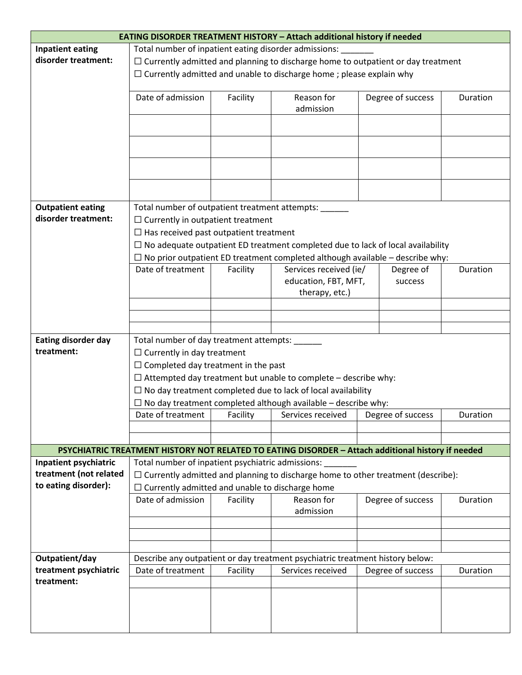| <b>EATING DISORDER TREATMENT HISTORY - Attach additional history if needed</b> |                                                                                         |                                                             |                                                                                                    |  |                   |          |
|--------------------------------------------------------------------------------|-----------------------------------------------------------------------------------------|-------------------------------------------------------------|----------------------------------------------------------------------------------------------------|--|-------------------|----------|
| <b>Inpatient eating</b>                                                        | Total number of inpatient eating disorder admissions:                                   |                                                             |                                                                                                    |  |                   |          |
| disorder treatment:                                                            | $\Box$ Currently admitted and planning to discharge home to outpatient or day treatment |                                                             |                                                                                                    |  |                   |          |
|                                                                                | $\Box$ Currently admitted and unable to discharge home; please explain why              |                                                             |                                                                                                    |  |                   |          |
|                                                                                | Date of admission                                                                       | Facility                                                    | Reason for                                                                                         |  | Degree of success | Duration |
|                                                                                |                                                                                         |                                                             | admission                                                                                          |  |                   |          |
|                                                                                |                                                                                         |                                                             |                                                                                                    |  |                   |          |
|                                                                                |                                                                                         |                                                             |                                                                                                    |  |                   |          |
|                                                                                |                                                                                         |                                                             |                                                                                                    |  |                   |          |
|                                                                                |                                                                                         |                                                             |                                                                                                    |  |                   |          |
|                                                                                |                                                                                         |                                                             |                                                                                                    |  |                   |          |
| <b>Outpatient eating</b>                                                       | Total number of outpatient treatment attempts: ______                                   |                                                             |                                                                                                    |  |                   |          |
| disorder treatment:                                                            | $\Box$ Currently in outpatient treatment                                                |                                                             |                                                                                                    |  |                   |          |
|                                                                                | $\Box$ Has received past outpatient treatment                                           |                                                             |                                                                                                    |  |                   |          |
|                                                                                |                                                                                         |                                                             | $\Box$ No adequate outpatient ED treatment completed due to lack of local availability             |  |                   |          |
|                                                                                |                                                                                         |                                                             | $\Box$ No prior outpatient ED treatment completed although available - describe why:               |  |                   |          |
|                                                                                | Date of treatment                                                                       | Duration<br>Services received (ie/<br>Facility<br>Degree of |                                                                                                    |  |                   |          |
|                                                                                |                                                                                         |                                                             | education, FBT, MFT,                                                                               |  | success           |          |
|                                                                                |                                                                                         |                                                             | therapy, etc.)                                                                                     |  |                   |          |
|                                                                                |                                                                                         |                                                             |                                                                                                    |  |                   |          |
|                                                                                |                                                                                         |                                                             |                                                                                                    |  |                   |          |
|                                                                                |                                                                                         |                                                             |                                                                                                    |  |                   |          |
| <b>Eating disorder day</b><br>treatment:                                       | Total number of day treatment attempts: _____                                           |                                                             |                                                                                                    |  |                   |          |
|                                                                                | $\Box$ Currently in day treatment                                                       |                                                             |                                                                                                    |  |                   |          |
|                                                                                | $\Box$ Completed day treatment in the past                                              |                                                             |                                                                                                    |  |                   |          |
|                                                                                | $\Box$ Attempted day treatment but unable to complete - describe why:                   |                                                             |                                                                                                    |  |                   |          |
|                                                                                | $\Box$ No day treatment completed due to lack of local availability                     |                                                             |                                                                                                    |  |                   |          |
|                                                                                | $\Box$ No day treatment completed although available – describe why:                    |                                                             |                                                                                                    |  |                   |          |
|                                                                                | Date of treatment                                                                       | Facility                                                    | Services received                                                                                  |  | Degree of success | Duration |
|                                                                                |                                                                                         |                                                             |                                                                                                    |  |                   |          |
|                                                                                |                                                                                         |                                                             | PSYCHIATRIC TREATMENT HISTORY NOT RELATED TO EATING DISORDER - Attach additional history if needed |  |                   |          |
| Inpatient psychiatric                                                          | Total number of inpatient psychiatric admissions:                                       |                                                             |                                                                                                    |  |                   |          |
| treatment (not related                                                         | $\Box$ Currently admitted and planning to discharge home to other treatment (describe): |                                                             |                                                                                                    |  |                   |          |
| to eating disorder):                                                           | $\Box$ Currently admitted and unable to discharge home                                  |                                                             |                                                                                                    |  |                   |          |
|                                                                                | Date of admission                                                                       | Facility                                                    | Reason for                                                                                         |  | Degree of success | Duration |
|                                                                                |                                                                                         |                                                             | admission                                                                                          |  |                   |          |
|                                                                                |                                                                                         |                                                             |                                                                                                    |  |                   |          |
|                                                                                |                                                                                         |                                                             |                                                                                                    |  |                   |          |
|                                                                                |                                                                                         |                                                             |                                                                                                    |  |                   |          |
| Outpatient/day                                                                 |                                                                                         |                                                             | Describe any outpatient or day treatment psychiatric treatment history below:                      |  |                   |          |
| treatment psychiatric                                                          | Date of treatment                                                                       | Facility                                                    | Services received                                                                                  |  | Degree of success | Duration |
| treatment:                                                                     |                                                                                         |                                                             |                                                                                                    |  |                   |          |
|                                                                                |                                                                                         |                                                             |                                                                                                    |  |                   |          |
|                                                                                |                                                                                         |                                                             |                                                                                                    |  |                   |          |
|                                                                                |                                                                                         |                                                             |                                                                                                    |  |                   |          |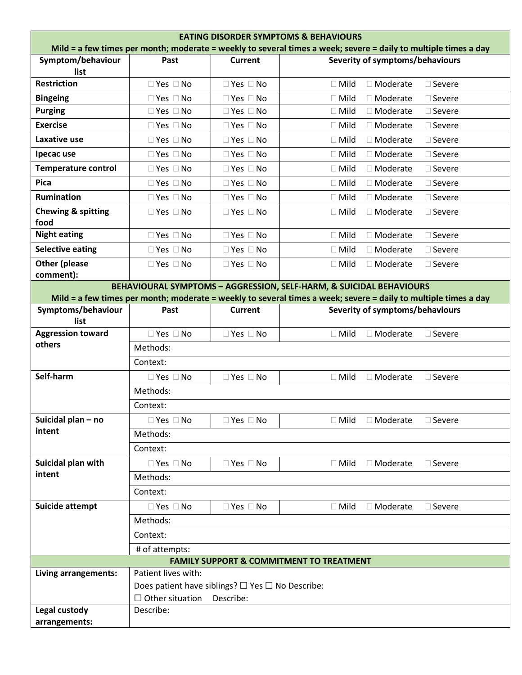| <b>EATING DISORDER SYMPTOMS &amp; BEHAVIOURS</b><br>Mild = a few times per month; moderate = weekly to several times a week; severe = daily to multiple times a day |                                                                               |                      |                                                                                                                 |  |
|---------------------------------------------------------------------------------------------------------------------------------------------------------------------|-------------------------------------------------------------------------------|----------------------|-----------------------------------------------------------------------------------------------------------------|--|
| Symptom/behaviour                                                                                                                                                   | Past                                                                          | <b>Current</b>       | Severity of symptoms/behaviours                                                                                 |  |
| list                                                                                                                                                                |                                                                               |                      |                                                                                                                 |  |
| <b>Restriction</b>                                                                                                                                                  | $\Box$ Yes $\Box$ No                                                          | $\Box$ Yes $\Box$ No | $\Box$ Mild<br>□ Moderate<br>$\square$ Severe                                                                   |  |
| <b>Bingeing</b>                                                                                                                                                     | $\Box$ Yes $\Box$ No                                                          | $\Box$ Yes $\Box$ No | $\Box$ Mild<br>□ Moderate<br>$\square$ Severe                                                                   |  |
| <b>Purging</b>                                                                                                                                                      | $\Box$ Yes $\Box$ No                                                          | $\Box$ Yes $\Box$ No | $\Box$ Mild<br>$\Box$ Moderate<br>$\square$ Severe                                                              |  |
| <b>Exercise</b>                                                                                                                                                     | $\Box$ Yes $\Box$ No                                                          | $\Box$ Yes $\Box$ No | $\Box$ Mild<br>□ Moderate<br>$\square$ Severe                                                                   |  |
| Laxative use                                                                                                                                                        | $\Box$ Yes $\Box$ No                                                          | $\Box$ Yes $\Box$ No | $\Box$ Mild<br>$\Box$ Moderate<br>$\square$ Severe                                                              |  |
| Ipecac use                                                                                                                                                          | $\Box$ Yes $\Box$ No                                                          | $\Box$ Yes $\Box$ No | $\Box$ Mild<br>$\Box$ Moderate<br>$\square$ Severe                                                              |  |
| <b>Temperature control</b>                                                                                                                                          | $\Box$ Yes $\Box$ No                                                          | $\Box$ Yes $\Box$ No | $\Box$ Mild<br>$\Box$ Moderate<br>$\square$ Severe                                                              |  |
| <b>Pica</b>                                                                                                                                                         | $\Box$ Yes $\Box$ No                                                          | $\Box$ Yes $\Box$ No | $\Box$ Mild<br>$\Box$ Moderate<br>$\square$ Severe                                                              |  |
| Rumination                                                                                                                                                          | $\Box$ Yes $\Box$ No                                                          | $\Box$ Yes $\Box$ No | $\Box$ Mild<br>□ Moderate<br>$\square$ Severe                                                                   |  |
| <b>Chewing &amp; spitting</b><br>food                                                                                                                               | $\Box$ Yes $\Box$ No                                                          | $\Box$ Yes $\Box$ No | $\Box$ Mild<br>$\Box$ Moderate<br>$\square$ Severe                                                              |  |
| <b>Night eating</b>                                                                                                                                                 | $\Box$ Yes $\Box$ No                                                          | $\Box$ Yes $\Box$ No | $\Box$ Mild<br>$\Box$ Moderate<br>$\square$ Severe                                                              |  |
| <b>Selective eating</b>                                                                                                                                             | $\Box$ Yes $\Box$ No                                                          | $\Box$ Yes $\Box$ No | $\Box$ Mild<br>$\Box$ Moderate<br>$\square$ Severe                                                              |  |
| <b>Other (please</b><br>comment):                                                                                                                                   | $\Box$ Yes $\Box$ No                                                          | $\Box$ Yes $\Box$ No | $\Box$ Mild<br>□ Moderate<br>$\square$ Severe                                                                   |  |
|                                                                                                                                                                     |                                                                               |                      | <b>BEHAVIOURAL SYMPTOMS - AGGRESSION, SELF-HARM, &amp; SUICIDAL BEHAVIOURS</b>                                  |  |
|                                                                                                                                                                     |                                                                               |                      | Mild = a few times per month; moderate = weekly to several times a week; severe = daily to multiple times a day |  |
| Symptoms/behaviour<br>list                                                                                                                                          | Past                                                                          | <b>Current</b>       | Severity of symptoms/behaviours                                                                                 |  |
| <b>Aggression toward</b>                                                                                                                                            | $\Box$ Yes $\Box$ No                                                          | $\Box$ Yes $\Box$ No | $\Box$ Mild<br>□ Moderate<br>□ Severe                                                                           |  |
| others                                                                                                                                                              | Methods:                                                                      |                      |                                                                                                                 |  |
|                                                                                                                                                                     | Context:                                                                      |                      |                                                                                                                 |  |
| Self-harm                                                                                                                                                           | $\Box$ Yes $\Box$ No                                                          | $\Box$ Yes $\Box$ No | $\Box$ Mild<br>□ Moderate<br>$\square$ Severe                                                                   |  |
|                                                                                                                                                                     | Methods:                                                                      |                      |                                                                                                                 |  |
|                                                                                                                                                                     | Context:                                                                      |                      |                                                                                                                 |  |
| Suicidal plan - no                                                                                                                                                  | $\Box$ Yes $\Box$ No                                                          | $\Box$ Yes $\Box$ No | $\Box$ Mild<br>$\Box$ Moderate<br>$\square$ Severe                                                              |  |
| intent                                                                                                                                                              | Methods:                                                                      |                      |                                                                                                                 |  |
|                                                                                                                                                                     | Context:                                                                      |                      |                                                                                                                 |  |
| Suicidal plan with                                                                                                                                                  | $\Box$ Yes $\Box$ No                                                          | $\Box$ Yes $\Box$ No | $\Box$ Mild<br>$\Box$ Moderate<br>$\Box$ Severe                                                                 |  |
| intent                                                                                                                                                              | Methods:                                                                      |                      |                                                                                                                 |  |
|                                                                                                                                                                     | Context:                                                                      |                      |                                                                                                                 |  |
| Suicide attempt                                                                                                                                                     | $\Box$ Yes $\Box$ No                                                          | $\Box$ Yes $\Box$ No | $\Box$ Mild<br>□ Moderate<br>$\square$ Severe                                                                   |  |
|                                                                                                                                                                     | Methods:                                                                      |                      |                                                                                                                 |  |
|                                                                                                                                                                     | Context:                                                                      |                      |                                                                                                                 |  |
|                                                                                                                                                                     | # of attempts:                                                                |                      |                                                                                                                 |  |
|                                                                                                                                                                     |                                                                               |                      | <b>FAMILY SUPPORT &amp; COMMITMENT TO TREATMENT</b>                                                             |  |
| Living arrangements:                                                                                                                                                | Patient lives with:                                                           |                      |                                                                                                                 |  |
|                                                                                                                                                                     | Does patient have siblings? $\square$ Yes $\square$ No Describe:<br>Describe: |                      |                                                                                                                 |  |
| Legal custody                                                                                                                                                       | $\Box$ Other situation<br>Describe:                                           |                      |                                                                                                                 |  |
| arrangements:                                                                                                                                                       |                                                                               |                      |                                                                                                                 |  |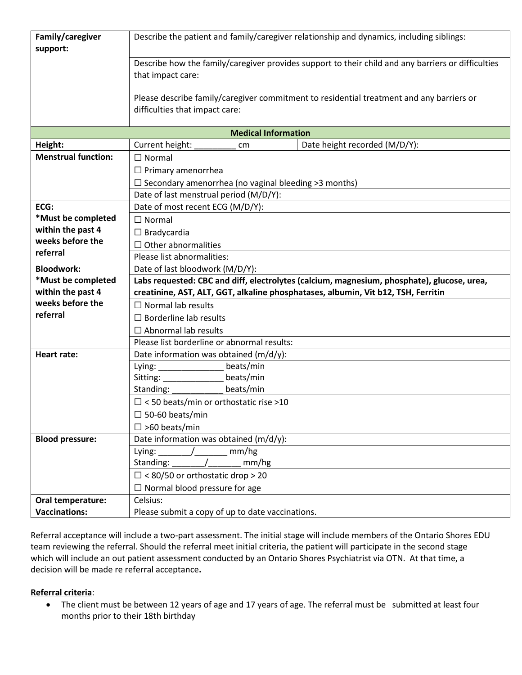| Family/caregiver<br>support:              | Describe the patient and family/caregiver relationship and dynamics, including siblings:                                   |  |  |  |  |  |
|-------------------------------------------|----------------------------------------------------------------------------------------------------------------------------|--|--|--|--|--|
|                                           | Describe how the family/caregiver provides support to their child and any barriers or difficulties<br>that impact care:    |  |  |  |  |  |
|                                           | Please describe family/caregiver commitment to residential treatment and any barriers or<br>difficulties that impact care: |  |  |  |  |  |
| <b>Medical Information</b>                |                                                                                                                            |  |  |  |  |  |
| Height:                                   | Date height recorded (M/D/Y):<br>Current height:<br>cm                                                                     |  |  |  |  |  |
| <b>Menstrual function:</b>                | $\Box$ Normal                                                                                                              |  |  |  |  |  |
|                                           | $\Box$ Primary amenorrhea                                                                                                  |  |  |  |  |  |
|                                           | $\Box$ Secondary amenorrhea (no vaginal bleeding >3 months)                                                                |  |  |  |  |  |
|                                           | Date of last menstrual period (M/D/Y):                                                                                     |  |  |  |  |  |
| ECG:                                      | Date of most recent ECG (M/D/Y):                                                                                           |  |  |  |  |  |
| *Must be completed                        | $\Box$ Normal                                                                                                              |  |  |  |  |  |
| within the past 4                         | $\Box$ Bradycardia                                                                                                         |  |  |  |  |  |
| weeks before the                          | $\Box$ Other abnormalities                                                                                                 |  |  |  |  |  |
| referral                                  | Please list abnormalities:                                                                                                 |  |  |  |  |  |
| <b>Bloodwork:</b>                         | Date of last bloodwork (M/D/Y):                                                                                            |  |  |  |  |  |
| *Must be completed                        | Labs requested: CBC and diff, electrolytes (calcium, magnesium, phosphate), glucose, urea,                                 |  |  |  |  |  |
| within the past 4                         | creatinine, AST, ALT, GGT, alkaline phosphatases, albumin, Vit b12, TSH, Ferritin                                          |  |  |  |  |  |
| weeks before the                          | $\Box$ Normal lab results                                                                                                  |  |  |  |  |  |
| referral                                  | $\Box$ Borderline lab results                                                                                              |  |  |  |  |  |
|                                           | $\Box$ Abnormal lab results                                                                                                |  |  |  |  |  |
|                                           | Please list borderline or abnormal results:                                                                                |  |  |  |  |  |
| <b>Heart rate:</b>                        | Date information was obtained (m/d/y):                                                                                     |  |  |  |  |  |
|                                           | beats/min                                                                                                                  |  |  |  |  |  |
|                                           | beats/min<br>Sitting: ________________                                                                                     |  |  |  |  |  |
|                                           | Standing: 1988<br>beats/min                                                                                                |  |  |  |  |  |
|                                           | $\Box$ < 50 beats/min or orthostatic rise >10                                                                              |  |  |  |  |  |
|                                           | $\square$ 50-60 beats/min                                                                                                  |  |  |  |  |  |
|                                           | $\square$ >60 beats/min                                                                                                    |  |  |  |  |  |
| <b>Blood pressure:</b>                    | Date information was obtained (m/d/y):                                                                                     |  |  |  |  |  |
|                                           | Lying: $\qquad$ /<br>mm/hg                                                                                                 |  |  |  |  |  |
|                                           | Standing:<br>mm/hg                                                                                                         |  |  |  |  |  |
|                                           | $\Box$ < 80/50 or orthostatic drop > 20                                                                                    |  |  |  |  |  |
|                                           | $\Box$ Normal blood pressure for age                                                                                       |  |  |  |  |  |
| Oral temperature:<br><b>Vaccinations:</b> | Celsius:                                                                                                                   |  |  |  |  |  |
|                                           | Please submit a copy of up to date vaccinations.                                                                           |  |  |  |  |  |

Referral acceptance will include a two-part assessment. The initial stage will include members of the Ontario Shores EDU team reviewing the referral. Should the referral meet initial criteria, the patient will participate in the second stage which will include an out patient assessment conducted by an Ontario Shores Psychiatrist via OTN. At that time, a decision will be made re referral acceptance**.** 

### **Referral criteria**:

• The client must be between 12 years of age and 17 years of age. The referral must be submitted at least four months prior to their 18th birthday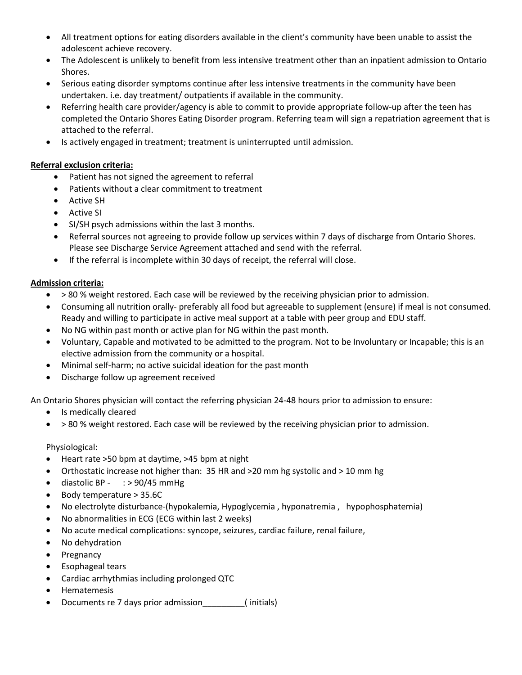- All treatment options for eating disorders available in the client's community have been unable to assist the adolescent achieve recovery.
- The Adolescent is unlikely to benefit from less intensive treatment other than an inpatient admission to Ontario Shores.
- Serious eating disorder symptoms continue after less intensive treatments in the community have been undertaken. i.e. day treatment/ outpatients if available in the community.
- Referring health care provider/agency is able to commit to provide appropriate follow-up after the teen has completed the Ontario Shores Eating Disorder program. Referring team will sign a repatriation agreement that is attached to the referral.
- Is actively engaged in treatment; treatment is uninterrupted until admission.

## **Referral exclusion criteria:**

- Patient has not signed the agreement to referral
- Patients without a clear commitment to treatment
- Active SH
- Active SI
- SI/SH psych admissions within the last 3 months.
- Referral sources not agreeing to provide follow up services within 7 days of discharge from Ontario Shores. Please see Discharge Service Agreement attached and send with the referral.
- If the referral is incomplete within 30 days of receipt, the referral will close.

### **Admission criteria:**

- > 80 % weight restored. Each case will be reviewed by the receiving physician prior to admission.
- Consuming all nutrition orally- preferably all food but agreeable to supplement (ensure) if meal is not consumed. Ready and willing to participate in active meal support at a table with peer group and EDU staff.
- No NG within past month or active plan for NG within the past month.
- Voluntary, Capable and motivated to be admitted to the program. Not to be Involuntary or Incapable; this is an elective admission from the community or a hospital.
- Minimal self-harm; no active suicidal ideation for the past month
- Discharge follow up agreement received

An Ontario Shores physician will contact the referring physician 24-48 hours prior to admission to ensure:

- Is medically cleared
- > 80 % weight restored. Each case will be reviewed by the receiving physician prior to admission.

### Physiological:

- Heart rate >50 bpm at daytime, >45 bpm at night
- Orthostatic increase not higher than: 35 HR and >20 mm hg systolic and > 10 mm hg
- $\bullet$  diastolic BP : > 90/45 mmHg
- Body temperature > 35.6C
- No electrolyte disturbance-(hypokalemia, Hypoglycemia , hyponatremia , hypophosphatemia)
- No abnormalities in ECG (ECG within last 2 weeks)
- No acute medical complications: syncope, seizures, cardiac failure, renal failure,
- No dehydration
- Pregnancy
- Esophageal tears
- Cardiac arrhythmias including prolonged QTC
- Hematemesis
- Documents re 7 days prior admission\_\_\_\_\_\_\_\_\_( initials)